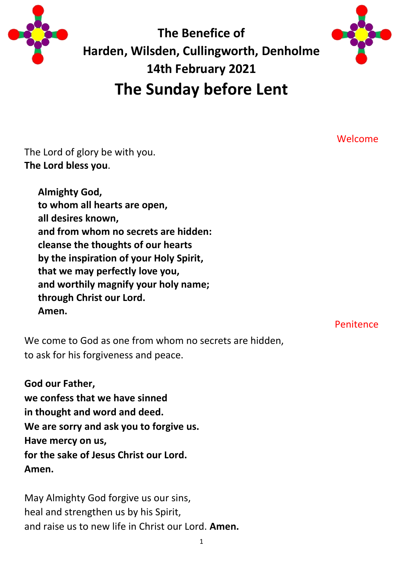

**The Benefice of Harden, Wilsden, Cullingworth, Denholme 14th February 2021 The Sunday before Lent**



Welcome

The Lord of glory be with you. **The Lord bless you**.

> **Almighty God, to whom all hearts are open, all desires known, and from whom no secrets are hidden: cleanse the thoughts of our hearts by the inspiration of your Holy Spirit, that we may perfectly love you, and worthily magnify your holy name; through Christ our Lord. Amen.**

> > Penitence

We come to God as one from whom no secrets are hidden, to ask for his forgiveness and peace.

**God our Father, we confess that we have sinned in thought and word and deed. We are sorry and ask you to forgive us. Have mercy on us, for the sake of Jesus Christ our Lord. Amen.**

May Almighty God forgive us our sins, heal and strengthen us by his Spirit, and raise us to new life in Christ our Lord. **Amen.**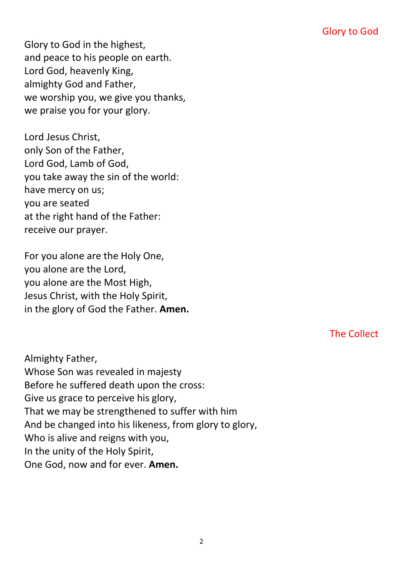Glory to God in the highest, and peace to his people on earth. Lord God, heavenly King, almighty God and Father, we worship you, we give you thanks, we praise you for your glory.

Lord Jesus Christ, only Son of the Father, Lord God, Lamb of God, you take away the sin of the world: have mercy on us; you are seated at the right hand of the Father: receive our prayer.

For you alone are the Holy One, you alone are the Lord, you alone are the Most High, Jesus Christ, with the Holy Spirit, in the glory of God the Father. **Amen.**

The Collect

Almighty Father, Whose Son was revealed in majesty Before he suffered death upon the cross: Give us grace to perceive his glory, That we may be strengthened to suffer with him And be changed into his likeness, from glory to glory, Who is alive and reigns with you, In the unity of the Holy Spirit, One God, now and for ever. **Amen.**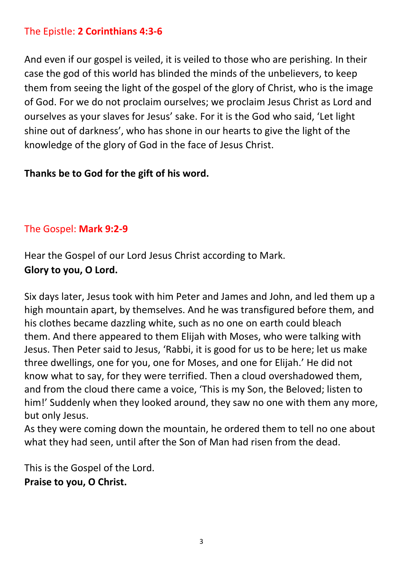### The Epistle: **2 Corinthians 4:3-6**

And even if our gospel is veiled, it is veiled to those who are perishing. In their case the god of this world has blinded the minds of the unbelievers, to keep them from seeing the light of the gospel of the glory of Christ, who is the image of God. For we do not proclaim ourselves; we proclaim Jesus Christ as Lord and ourselves as your slaves for Jesus' sake. For it is the God who said, 'Let light shine out of darkness', who has shone in our hearts to give the light of the knowledge of the glory of God in the face of Jesus Christ.

### **Thanks be to God for the gift of his word.**

#### The Gospel: **Mark 9:2-9**

Hear the Gospel of our Lord Jesus Christ according to Mark. **Glory to you, O Lord.**

Six days later, Jesus took with him Peter and James and John, and led them up a high mountain apart, by themselves. And he was transfigured before them, and his clothes became dazzling white, such as no one on earth could bleach them. And there appeared to them Elijah with Moses, who were talking with Jesus. Then Peter said to Jesus, 'Rabbi, it is good for us to be here; let us make three dwellings, one for you, one for Moses, and one for Elijah.' He did not know what to say, for they were terrified. Then a cloud overshadowed them, and from the cloud there came a voice, 'This is my Son, the Beloved; listen to him!' Suddenly when they looked around, they saw no one with them any more, but only Jesus.

As they were coming down the mountain, he ordered them to tell no one about what they had seen, until after the Son of Man had risen from the dead.

This is the Gospel of the Lord. **Praise to you, O Christ.**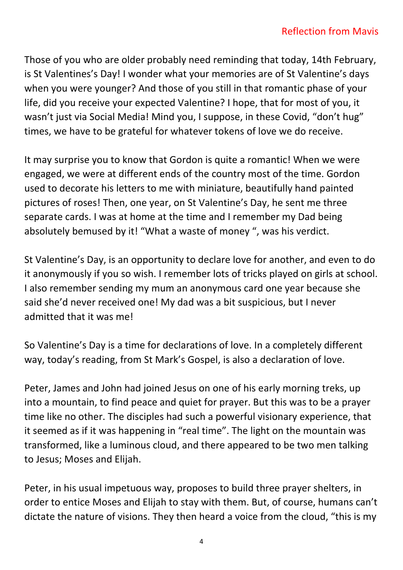Those of you who are older probably need reminding that today, 14th February, is St Valentines's Day! I wonder what your memories are of St Valentine's days when you were younger? And those of you still in that romantic phase of your life, did you receive your expected Valentine? I hope, that for most of you, it wasn't just via Social Media! Mind you, I suppose, in these Covid, "don't hug" times, we have to be grateful for whatever tokens of love we do receive.

It may surprise you to know that Gordon is quite a romantic! When we were engaged, we were at different ends of the country most of the time. Gordon used to decorate his letters to me with miniature, beautifully hand painted pictures of roses! Then, one year, on St Valentine's Day, he sent me three separate cards. I was at home at the time and I remember my Dad being absolutely bemused by it! "What a waste of money ", was his verdict.

St Valentine's Day, is an opportunity to declare love for another, and even to do it anonymously if you so wish. I remember lots of tricks played on girls at school. I also remember sending my mum an anonymous card one year because she said she'd never received one! My dad was a bit suspicious, but I never admitted that it was me!

So Valentine's Day is a time for declarations of love. In a completely different way, today's reading, from St Mark's Gospel, is also a declaration of love.

Peter, James and John had joined Jesus on one of his early morning treks, up into a mountain, to find peace and quiet for prayer. But this was to be a prayer time like no other. The disciples had such a powerful visionary experience, that it seemed as if it was happening in "real time". The light on the mountain was transformed, like a luminous cloud, and there appeared to be two men talking to Jesus; Moses and Elijah.

Peter, in his usual impetuous way, proposes to build three prayer shelters, in order to entice Moses and Elijah to stay with them. But, of course, humans can't dictate the nature of visions. They then heard a voice from the cloud, "this is my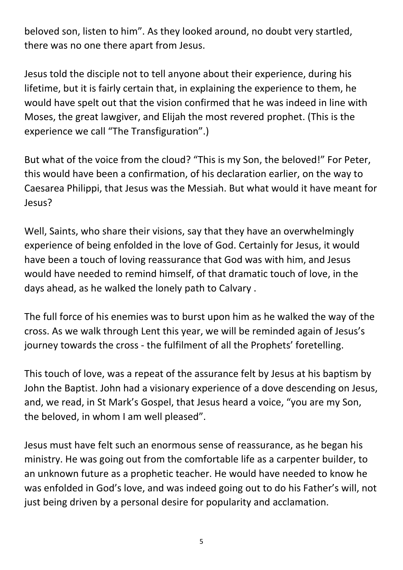beloved son, listen to him". As they looked around, no doubt very startled, there was no one there apart from Jesus.

Jesus told the disciple not to tell anyone about their experience, during his lifetime, but it is fairly certain that, in explaining the experience to them, he would have spelt out that the vision confirmed that he was indeed in line with Moses, the great lawgiver, and Elijah the most revered prophet. (This is the experience we call "The Transfiguration".)

But what of the voice from the cloud? "This is my Son, the beloved!" For Peter, this would have been a confirmation, of his declaration earlier, on the way to Caesarea Philippi, that Jesus was the Messiah. But what would it have meant for Jesus?

Well, Saints, who share their visions, say that they have an overwhelmingly experience of being enfolded in the love of God. Certainly for Jesus, it would have been a touch of loving reassurance that God was with him, and Jesus would have needed to remind himself, of that dramatic touch of love, in the days ahead, as he walked the lonely path to Calvary .

The full force of his enemies was to burst upon him as he walked the way of the cross. As we walk through Lent this year, we will be reminded again of Jesus's journey towards the cross - the fulfilment of all the Prophets' foretelling.

This touch of love, was a repeat of the assurance felt by Jesus at his baptism by John the Baptist. John had a visionary experience of a dove descending on Jesus, and, we read, in St Mark's Gospel, that Jesus heard a voice, "you are my Son, the beloved, in whom I am well pleased".

Jesus must have felt such an enormous sense of reassurance, as he began his ministry. He was going out from the comfortable life as a carpenter builder, to an unknown future as a prophetic teacher. He would have needed to know he was enfolded in God's love, and was indeed going out to do his Father's will, not just being driven by a personal desire for popularity and acclamation.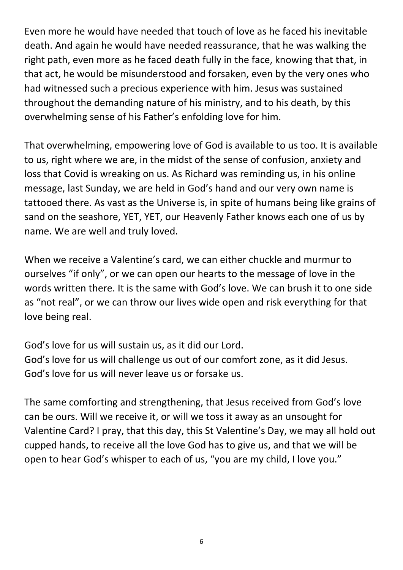Even more he would have needed that touch of love as he faced his inevitable death. And again he would have needed reassurance, that he was walking the right path, even more as he faced death fully in the face, knowing that that, in that act, he would be misunderstood and forsaken, even by the very ones who had witnessed such a precious experience with him. Jesus was sustained throughout the demanding nature of his ministry, and to his death, by this overwhelming sense of his Father's enfolding love for him.

That overwhelming, empowering love of God is available to us too. It is available to us, right where we are, in the midst of the sense of confusion, anxiety and loss that Covid is wreaking on us. As Richard was reminding us, in his online message, last Sunday, we are held in God's hand and our very own name is tattooed there. As vast as the Universe is, in spite of humans being like grains of sand on the seashore, YET, YET, our Heavenly Father knows each one of us by name. We are well and truly loved.

When we receive a Valentine's card, we can either chuckle and murmur to ourselves "if only", or we can open our hearts to the message of love in the words written there. It is the same with God's love. We can brush it to one side as "not real", or we can throw our lives wide open and risk everything for that love being real.

God's love for us will sustain us, as it did our Lord. God's love for us will challenge us out of our comfort zone, as it did Jesus. God's love for us will never leave us or forsake us.

The same comforting and strengthening, that Jesus received from God's love can be ours. Will we receive it, or will we toss it away as an unsought for Valentine Card? I pray, that this day, this St Valentine's Day, we may all hold out cupped hands, to receive all the love God has to give us, and that we will be open to hear God's whisper to each of us, "you are my child, I love you."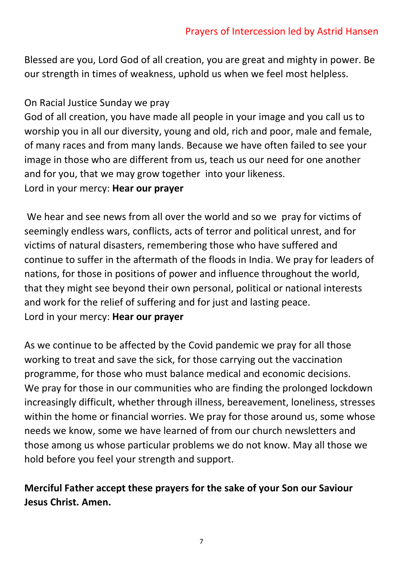Blessed are you, Lord God of all creation, you are great and mighty in power. Be our strength in times of weakness, uphold us when we feel most helpless.

## On Racial Justice Sunday we pray

God of all creation, you have made all people in your image and you call us to worship you in all our diversity, young and old, rich and poor, male and female, of many races and from many lands. Because we have often failed to see your image in those who are different from us, teach us our need for one another and for you, that we may grow together into your likeness.

Lord in your mercy: **Hear our prayer**

We hear and see news from all over the world and so we pray for victims of seemingly endless wars, conflicts, acts of terror and political unrest, and for victims of natural disasters, remembering those who have suffered and continue to suffer in the aftermath of the floods in India. We pray for leaders of nations, for those in positions of power and influence throughout the world, that they might see beyond their own personal, political or national interests and work for the relief of suffering and for just and lasting peace. Lord in your mercy: **Hear our prayer**

As we continue to be affected by the Covid pandemic we pray for all those working to treat and save the sick, for those carrying out the vaccination programme, for those who must balance medical and economic decisions. We pray for those in our communities who are finding the prolonged lockdown increasingly difficult, whether through illness, bereavement, loneliness, stresses within the home or financial worries. We pray for those around us, some whose needs we know, some we have learned of from our church newsletters and those among us whose particular problems we do not know. May all those we hold before you feel your strength and support.

# **Merciful Father accept these prayers for the sake of your Son our Saviour Jesus Christ. Amen.**